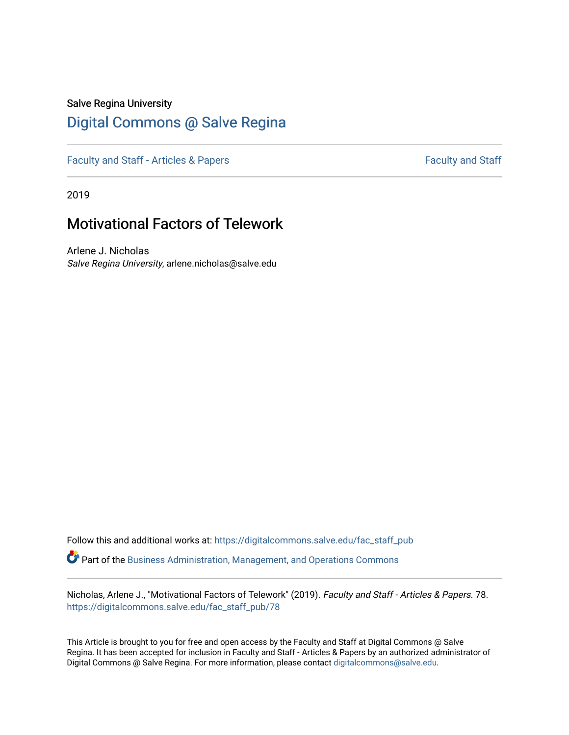#### Salve Regina University

## [Digital Commons @ Salve Regina](https://digitalcommons.salve.edu/)

[Faculty and Staff - Articles & Papers](https://digitalcommons.salve.edu/fac_staff_pub) [Faculty and Staff](https://digitalcommons.salve.edu/fac_staff) - Faculty and Staff - Faculty and Staff

2019

# Motivational Factors of Telework

Arlene J. Nicholas Salve Regina University, arlene.nicholas@salve.edu

Follow this and additional works at: [https://digitalcommons.salve.edu/fac\\_staff\\_pub](https://digitalcommons.salve.edu/fac_staff_pub?utm_source=digitalcommons.salve.edu%2Ffac_staff_pub%2F78&utm_medium=PDF&utm_campaign=PDFCoverPages)  Part of the [Business Administration, Management, and Operations Commons](http://network.bepress.com/hgg/discipline/623?utm_source=digitalcommons.salve.edu%2Ffac_staff_pub%2F78&utm_medium=PDF&utm_campaign=PDFCoverPages)

Nicholas, Arlene J., "Motivational Factors of Telework" (2019). Faculty and Staff - Articles & Papers. 78. [https://digitalcommons.salve.edu/fac\\_staff\\_pub/78](https://digitalcommons.salve.edu/fac_staff_pub/78?utm_source=digitalcommons.salve.edu%2Ffac_staff_pub%2F78&utm_medium=PDF&utm_campaign=PDFCoverPages)

This Article is brought to you for free and open access by the Faculty and Staff at Digital Commons @ Salve Regina. It has been accepted for inclusion in Faculty and Staff - Articles & Papers by an authorized administrator of Digital Commons @ Salve Regina. For more information, please contact [digitalcommons@salve.edu](mailto:digitalcommons@salve.edu).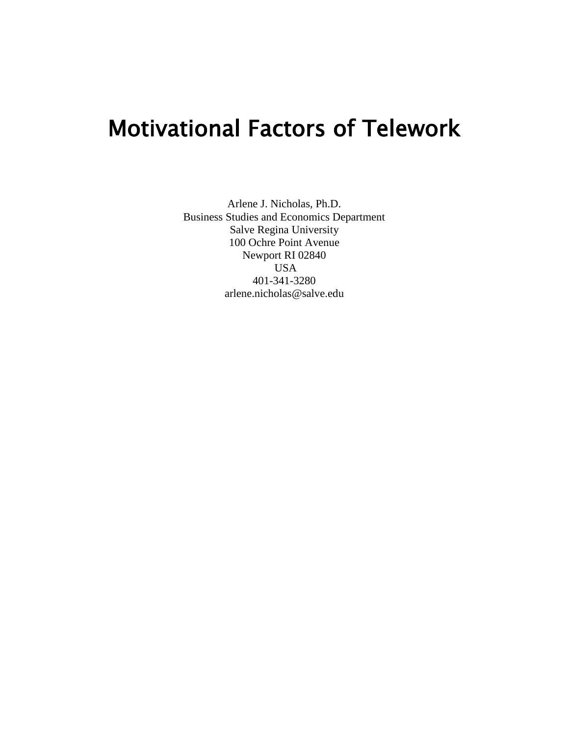# Motivational Factors of Telework

Arlene J. Nicholas, Ph.D. Business Studies and Economics Department Salve Regina University 100 Ochre Point Avenue Newport RI 02840 USA 401-341-3280 arlene.nicholas@salve.edu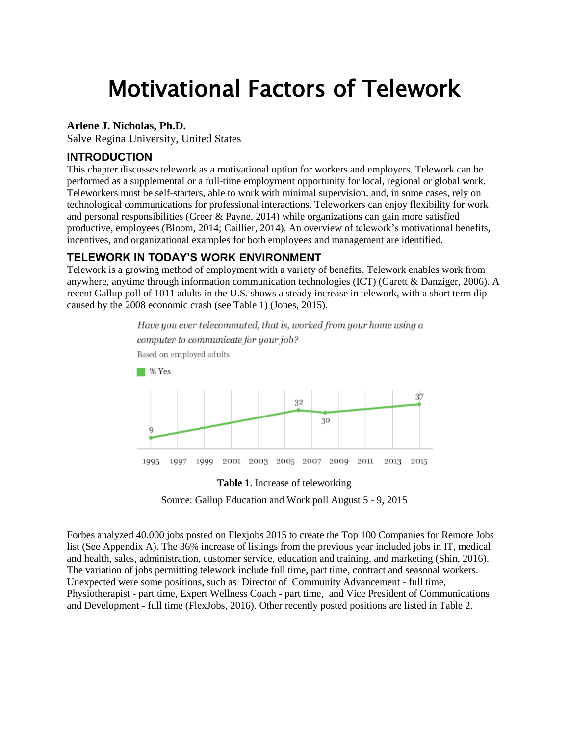# Motivational Factors of Telework

#### **Arlene J. Nicholas, Ph.D.**

Salve Regina University, United States

#### **INTRODUCTION**

This chapter discusses telework as a motivational option for workers and employers. Telework can be performed as a supplemental or a full-time employment opportunity for local, regional or global work. Teleworkers must be self-starters, able to work with minimal supervision, and, in some cases, rely on technological communications for professional interactions. Teleworkers can enjoy flexibility for work and personal responsibilities (Greer & Payne, 2014) while organizations can gain more satisfied productive, employees (Bloom, 2014; Caillier, 2014). An overview of telework's motivational benefits, incentives, and organizational examples for both employees and management are identified.

#### **TELEWORK IN TODAY'S WORK ENVIRONMENT**

Telework is a growing method of employment with a variety of benefits. Telework enables work from anywhere, anytime through information communication technologies (ICT) (Garett & Danziger, 2006). A recent Gallup poll of 1011 adults in the U.S. shows a steady increase in telework, with a short term dip caused by the 2008 economic crash (see Table 1) (Jones, 2015).





Source: Gallup Education and Work poll August 5 - 9, 2015

Forbes analyzed 40,000 jobs posted on Flexjobs 2015 to create the Top 100 Companies for Remote Jobs list (See Appendix A). The 36% increase of listings from the previous year included jobs in IT, medical and health, sales, administration, customer service, education and training, and marketing (Shin, 2016). The variation of jobs permitting telework include full time, part time, contract and seasonal workers. Unexpected were some positions, such as Director of Community Advancement - full time, Physiotherapist - part time, Expert Wellness Coach - part time, and Vice President of Communications and Development - full time (FlexJobs, 2016). Other recently posted positions are listed in Table 2.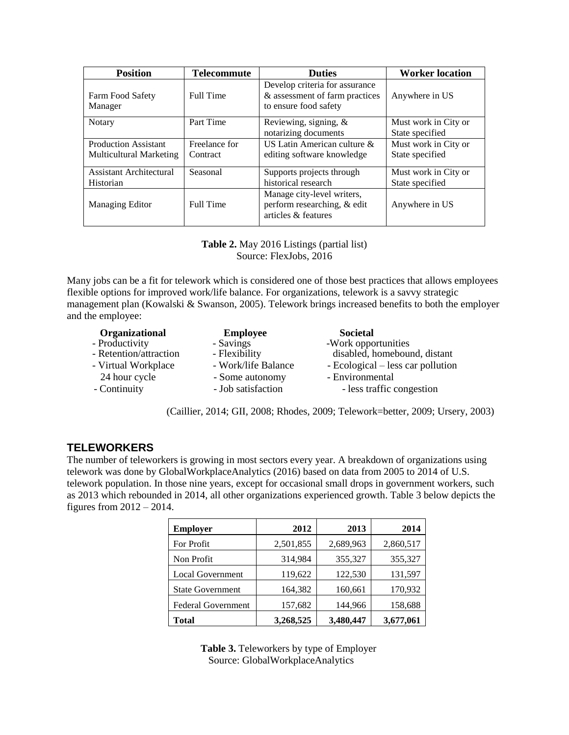| <b>Position</b>                | <b>Telecommute</b> | <b>Duties</b>                                                                             | <b>Worker location</b>                  |  |
|--------------------------------|--------------------|-------------------------------------------------------------------------------------------|-----------------------------------------|--|
| Farm Food Safety<br>Manager    | Full Time          | Develop criteria for assurance<br>& assessment of farm practices<br>to ensure food safety | Anywhere in US                          |  |
| Notary                         | Part Time          | Reviewing, signing, &<br>notarizing documents                                             | Must work in City or<br>State specified |  |
| <b>Production Assistant</b>    | Freelance for      | US Latin American culture &                                                               | Must work in City or                    |  |
| <b>Multicultural Marketing</b> | Contract           | editing software knowledge                                                                | State specified                         |  |
| Assistant Architectural        | Seasonal           | Supports projects through                                                                 | Must work in City or                    |  |
| Historian                      |                    | historical research                                                                       | State specified                         |  |
| Managing Editor                | Full Time          | Manage city-level writers,<br>perform researching, & edit<br>articles & features          | Anywhere in US                          |  |

**Table 2.** May 2016 Listings (partial list) Source: FlexJobs, 2016

Many jobs can be a fit for telework which is considered one of those best practices that allows employees flexible options for improved work/life balance. For organizations, telework is a savvy strategic management plan (Kowalski & Swanson, 2005). Telework brings increased benefits to both the employer and the employee:

| Organizational         | <b>Employee</b>     | <b>Societal</b>                   |
|------------------------|---------------------|-----------------------------------|
| - Productivity         | - Savings           | -Work opportunities               |
| - Retention/attraction | - Flexibility       | disabled, homebound, distant      |
| - Virtual Workplace    | - Work/life Balance | - Ecological – less car pollution |
| 24 hour cycle          | - Some autonomy     | - Environmental                   |
| - Continuity           | - Job satisfaction  | - less traffic congestion         |

(Caillier, 2014; GII, 2008; Rhodes, 2009; Telework=better, 2009; Ursery, 2003)

#### **TELEWORKERS**

The number of teleworkers is growing in most sectors every year. A breakdown of organizations using telework was done by GlobalWorkplaceAnalytics (2016) based on data from 2005 to 2014 of U.S. telework population. In those nine years, except for occasional small drops in government workers, such as 2013 which rebounded in 2014, all other organizations experienced growth. Table 3 below depicts the figures from 2012 – 2014.

| <b>Employer</b>           | 2012      | 2013      | 2014      |
|---------------------------|-----------|-----------|-----------|
| For Profit                | 2,501,855 | 2,689,963 | 2,860,517 |
| Non Profit                | 314,984   | 355,327   | 355,327   |
| <b>Local Government</b>   | 119,622   | 122,530   | 131,597   |
| <b>State Government</b>   | 164,382   | 160,661   | 170,932   |
| <b>Federal Government</b> | 157,682   | 144,966   | 158,688   |
| Total                     | 3,268,525 | 3,480,447 | 3,677,061 |

**Table 3.** Teleworkers by type of Employer Source: GlobalWorkplaceAnalytics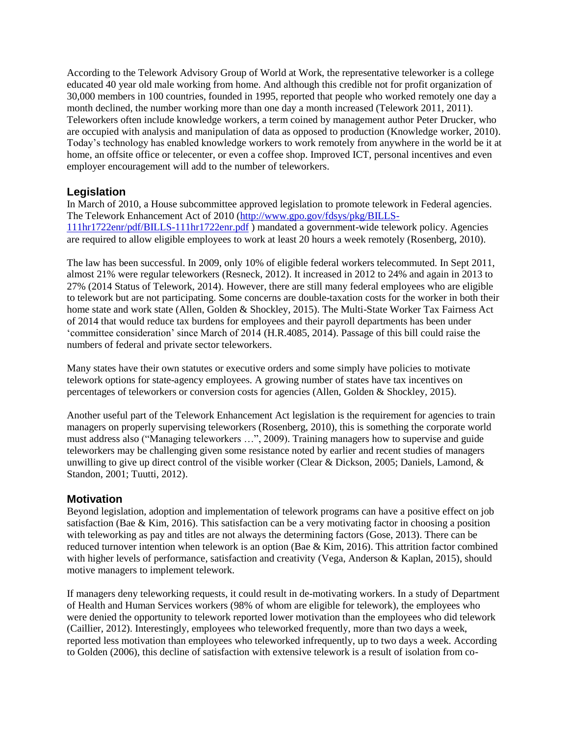According to the Telework Advisory Group of World at Work, the representative teleworker is a college educated 40 year old male working from home. And although this credible not for profit organization of 30,000 members in 100 countries, founded in 1995, reported that people who worked remotely one day a month declined, the number working more than one day a month increased (Telework 2011, 2011). Teleworkers often include knowledge workers, a term coined by management author Peter Drucker, who are occupied with analysis and manipulation of data as opposed to production (Knowledge worker, 2010). Today's technology has enabled knowledge workers to work remotely from anywhere in the world be it at home, an offsite office or telecenter, or even a coffee shop. Improved ICT, personal incentives and even employer encouragement will add to the number of teleworkers.

#### **Legislation**

In March of 2010, a House subcommittee approved legislation to promote telework in Federal agencies. The Telework Enhancement Act of 2010 [\(http://www.gpo.gov/fdsys/pkg/BILLS-](http://www.gpo.gov/fdsys/pkg/BILLS-111hr1722enr/pdf/BILLS-111hr1722enr.pdf)[111hr1722enr/pdf/BILLS-111hr1722enr.pdf](http://www.gpo.gov/fdsys/pkg/BILLS-111hr1722enr/pdf/BILLS-111hr1722enr.pdf) ) mandated a government-wide telework policy. Agencies are required to allow eligible employees to work at least 20 hours a week remotely (Rosenberg, 2010).

The law has been successful. In 2009, only 10% of eligible federal workers telecommuted. In Sept 2011, almost 21% were regular teleworkers (Resneck, 2012). It increased in 2012 to 24% and again in 2013 to 27% (2014 Status of Telework, 2014). However, there are still many federal employees who are eligible to telework but are not participating. Some concerns are double-taxation costs for the worker in both their home state and work state (Allen, Golden & Shockley, 2015). The Multi-State Worker Tax Fairness Act of 2014 that would reduce tax burdens for employees and their payroll departments has been under 'committee consideration' since March of 2014 (H.R.4085, 2014). Passage of this bill could raise the numbers of federal and private sector teleworkers.

Many states have their own statutes or executive orders and some simply have policies to motivate telework options for state-agency employees. A growing number of states have tax incentives on percentages of teleworkers or conversion costs for agencies (Allen, Golden & Shockley, 2015).

Another useful part of the Telework Enhancement Act legislation is the requirement for agencies to train managers on properly supervising teleworkers (Rosenberg, 2010), this is something the corporate world must address also ("Managing teleworkers …", 2009). Training managers how to supervise and guide teleworkers may be challenging given some resistance noted by earlier and recent studies of managers unwilling to give up direct control of the visible worker (Clear & Dickson, 2005; Daniels, Lamond, & Standon, 2001; Tuutti, 2012).

#### **Motivation**

Beyond legislation, adoption and implementation of telework programs can have a positive effect on job satisfaction (Bae & Kim, 2016). This satisfaction can be a very motivating factor in choosing a position with teleworking as pay and titles are not always the determining factors (Gose, 2013). There can be reduced turnover intention when telework is an option (Bae & Kim, 2016). This attrition factor combined with higher levels of performance, satisfaction and creativity (Vega, Anderson & Kaplan, 2015), should motive managers to implement telework.

If managers deny teleworking requests, it could result in de-motivating workers. In a study of Department of Health and Human Services workers (98% of whom are eligible for telework), the employees who were denied the opportunity to telework reported lower motivation than the employees who did telework (Caillier, 2012). Interestingly, employees who teleworked frequently, more than two days a week, reported less motivation than employees who teleworked infrequently, up to two days a week. According to Golden (2006), this decline of satisfaction with extensive telework is a result of isolation from co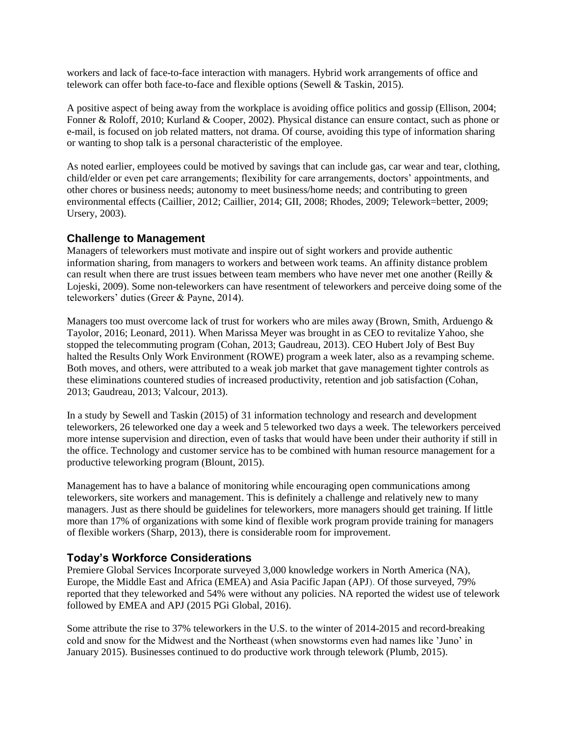workers and lack of face-to-face interaction with managers. Hybrid work arrangements of office and telework can offer both face-to-face and flexible options (Sewell & Taskin, 2015).

A positive aspect of being away from the workplace is avoiding office politics and gossip (Ellison, 2004; Fonner & Roloff, 2010; Kurland & Cooper, 2002). Physical distance can ensure contact, such as phone or e-mail, is focused on job related matters, not drama. Of course, avoiding this type of information sharing or wanting to shop talk is a personal characteristic of the employee.

As noted earlier, employees could be motived by savings that can include gas, car wear and tear, clothing, child/elder or even pet care arrangements; flexibility for care arrangements, doctors' appointments, and other chores or business needs; autonomy to meet business/home needs; and contributing to green environmental effects (Caillier, 2012; Caillier, 2014; GII, 2008; Rhodes, 2009; Telework=better, 2009; Ursery, 2003).

#### **Challenge to Management**

Managers of teleworkers must motivate and inspire out of sight workers and provide authentic information sharing, from managers to workers and between work teams. An affinity distance problem can result when there are trust issues between team members who have never met one another (Reilly & Lojeski, 2009). Some non-teleworkers can have resentment of teleworkers and perceive doing some of the teleworkers' duties (Greer & Payne, 2014).

Managers too must overcome lack of trust for workers who are miles away (Brown, Smith, Arduengo & Tayolor, 2016; Leonard, 2011). When Marissa Meyer was brought in as CEO to revitalize Yahoo, she stopped the telecommuting program (Cohan, 2013; Gaudreau, 2013). CEO Hubert Joly of Best Buy halted the Results Only Work Environment (ROWE) program a week later, also as a revamping scheme. Both moves, and others, were attributed to a weak job market that gave management tighter controls as these eliminations countered studies of increased productivity, retention and job satisfaction (Cohan, 2013; Gaudreau, 2013; Valcour, 2013).

In a study by Sewell and Taskin (2015) of 31 information technology and research and development teleworkers, 26 teleworked one day a week and 5 teleworked two days a week. The teleworkers perceived more intense supervision and direction, even of tasks that would have been under their authority if still in the office. Technology and customer service has to be combined with human resource management for a productive teleworking program (Blount, 2015).

Management has to have a balance of monitoring while encouraging open communications among teleworkers, site workers and management. This is definitely a challenge and relatively new to many managers. Just as there should be guidelines for teleworkers, more managers should get training. If little more than 17% of organizations with some kind of flexible work program provide training for managers of flexible workers (Sharp, 2013), there is considerable room for improvement.

#### **Today's Workforce Considerations**

Premiere Global Services Incorporate surveyed 3,000 knowledge workers in North America (NA), Europe, the Middle East and Africa (EMEA) and Asia Pacific Japan (APJ). Of those surveyed, 79% reported that they teleworked and 54% were without any policies. NA reported the widest use of telework followed by EMEA and APJ (2015 PGi Global, 2016).

Some attribute the rise to 37% teleworkers in the U.S. to the winter of 2014-2015 and record-breaking cold and snow for the Midwest and the Northeast (when snowstorms even had names like 'Juno' in January 2015). Businesses continued to do productive work through telework (Plumb, 2015).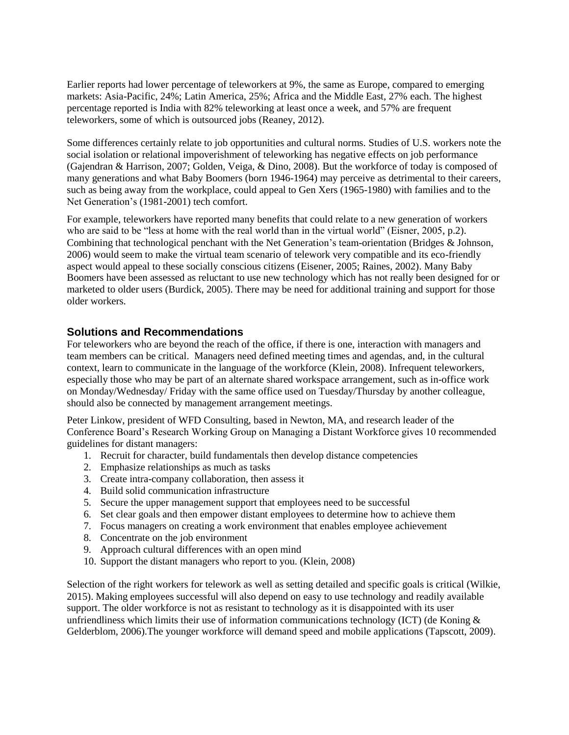Earlier reports had lower percentage of teleworkers at 9%, the same as Europe, compared to emerging markets: Asia-Pacific, 24%; Latin America, 25%; Africa and the Middle East, 27% each. The highest percentage reported is India with 82% teleworking at least once a week, and 57% are frequent teleworkers, some of which is outsourced jobs (Reaney, 2012).

Some differences certainly relate to job opportunities and cultural norms. Studies of U.S. workers note the social isolation or relational impoverishment of teleworking has negative effects on job performance (Gajendran & Harrison, 2007; Golden, Veiga, & Dino, 2008). But the workforce of today is composed of many generations and what Baby Boomers (born 1946-1964) may perceive as detrimental to their careers, such as being away from the workplace, could appeal to Gen Xers (1965-1980) with families and to the Net Generation's (1981-2001) tech comfort.

For example, teleworkers have reported many benefits that could relate to a new generation of workers who are said to be "less at home with the real world than in the virtual world" (Eisner, 2005, p.2). Combining that technological penchant with the Net Generation's team-orientation (Bridges & Johnson, 2006) would seem to make the virtual team scenario of telework very compatible and its eco-friendly aspect would appeal to these socially conscious citizens (Eisener, 2005; Raines, 2002). Many Baby Boomers have been assessed as reluctant to use new technology which has not really been designed for or marketed to older users (Burdick, 2005). There may be need for additional training and support for those older workers.

#### **Solutions and Recommendations**

For teleworkers who are beyond the reach of the office, if there is one, interaction with managers and team members can be critical. Managers need defined meeting times and agendas, and, in the cultural context, learn to communicate in the language of the workforce (Klein, 2008). Infrequent teleworkers, especially those who may be part of an alternate shared workspace arrangement, such as in-office work on Monday/Wednesday/ Friday with the same office used on Tuesday/Thursday by another colleague, should also be connected by management arrangement meetings.

Peter Linkow, president of WFD Consulting, based in Newton, MA, and research leader of the Conference Board's Research Working Group on Managing a Distant Workforce gives 10 recommended guidelines for distant managers:

- 1. Recruit for character, build fundamentals then develop distance competencies
- 2. Emphasize relationships as much as tasks
- 3. Create intra-company collaboration, then assess it
- 4. Build solid communication infrastructure
- 5. Secure the upper management support that employees need to be successful
- 6. Set clear goals and then empower distant employees to determine how to achieve them
- 7. Focus managers on creating a work environment that enables employee achievement
- 8. Concentrate on the job environment
- 9. Approach cultural differences with an open mind
- 10. Support the distant managers who report to you. (Klein, 2008)

Selection of the right workers for telework as well as setting detailed and specific goals is critical (Wilkie, 2015). Making employees successful will also depend on easy to use technology and readily available support. The older workforce is not as resistant to technology as it is disappointed with its user unfriendliness which limits their use of information communications technology (ICT) (de Koning  $\&$ Gelderblom, 2006).The younger workforce will demand speed and mobile applications (Tapscott, 2009).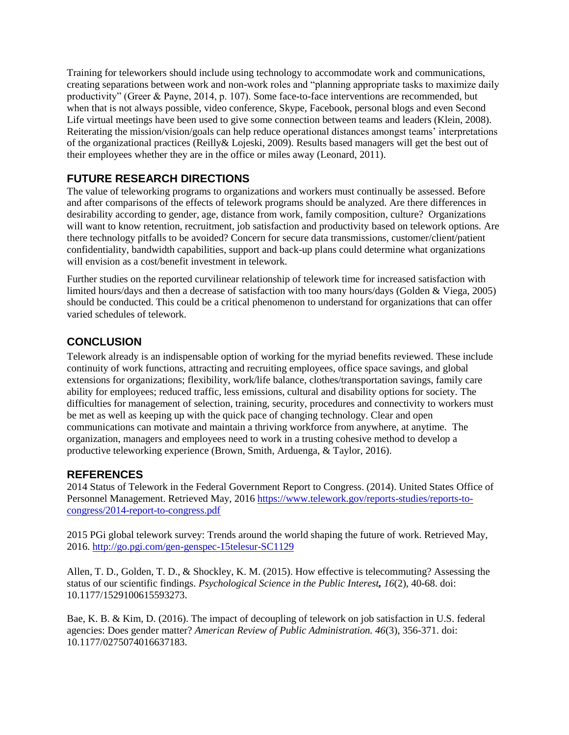Training for teleworkers should include using technology to accommodate work and communications, creating separations between work and non-work roles and "planning appropriate tasks to maximize daily productivity" (Greer & Payne, 2014, p. 107). Some face-to-face interventions are recommended, but when that is not always possible, video conference, Skype, Facebook, personal blogs and even Second Life virtual meetings have been used to give some connection between teams and leaders (Klein, 2008). Reiterating the mission/vision/goals can help reduce operational distances amongst teams' interpretations of the organizational practices (Reilly& Lojeski, 2009). Results based managers will get the best out of their employees whether they are in the office or miles away (Leonard, 2011).

### **FUTURE RESEARCH DIRECTIONS**

The value of teleworking programs to organizations and workers must continually be assessed. Before and after comparisons of the effects of telework programs should be analyzed. Are there differences in desirability according to gender, age, distance from work, family composition, culture? Organizations will want to know retention, recruitment, job satisfaction and productivity based on telework options. Are there technology pitfalls to be avoided? Concern for secure data transmissions, customer/client/patient confidentiality, bandwidth capabilities, support and back-up plans could determine what organizations will envision as a cost/benefit investment in telework.

Further studies on the reported curvilinear relationship of telework time for increased satisfaction with limited hours/days and then a decrease of satisfaction with too many hours/days (Golden & Viega, 2005) should be conducted. This could be a critical phenomenon to understand for organizations that can offer varied schedules of telework.

### **CONCLUSION**

Telework already is an indispensable option of working for the myriad benefits reviewed. These include continuity of work functions, attracting and recruiting employees, office space savings, and global extensions for organizations; flexibility, work/life balance, clothes/transportation savings, family care ability for employees; reduced traffic, less emissions, cultural and disability options for society. The difficulties for management of selection, training, security, procedures and connectivity to workers must be met as well as keeping up with the quick pace of changing technology. Clear and open communications can motivate and maintain a thriving workforce from anywhere, at anytime. The organization, managers and employees need to work in a trusting cohesive method to develop a productive teleworking experience (Brown, Smith, Arduenga, & Taylor, 2016).

#### **REFERENCES**

2014 Status of Telework in the Federal Government Report to Congress. (2014). United States Office of Personnel Management. Retrieved May, 2016 [https://www.telework.gov/reports-studies/reports-to](https://www.telework.gov/reports-studies/reports-to-congress/2014-report-to-congress.pdf)[congress/2014-report-to-congress.pdf](https://www.telework.gov/reports-studies/reports-to-congress/2014-report-to-congress.pdf)

2015 PGi global telework survey: Trends around the world shaping the future of work. Retrieved May, 2016.<http://go.pgi.com/gen-genspec-15telesur-SC1129>

Allen, T. D., Golden, T. D., & Shockley, K. M. (2015). How effective is telecommuting? Assessing the status of our scientific findings. *Psychological Science in the Public Interest, 16*(2), 40-68. doi: 10.1177/1529100615593273.

Bae, K. B. & Kim, D. (2016). The impact of decoupling of telework on job satisfaction in U.S. federal agencies: Does gender matter? *American Review of Public Administration. 46*(3), 356-371. doi: 10.1177/0275074016637183.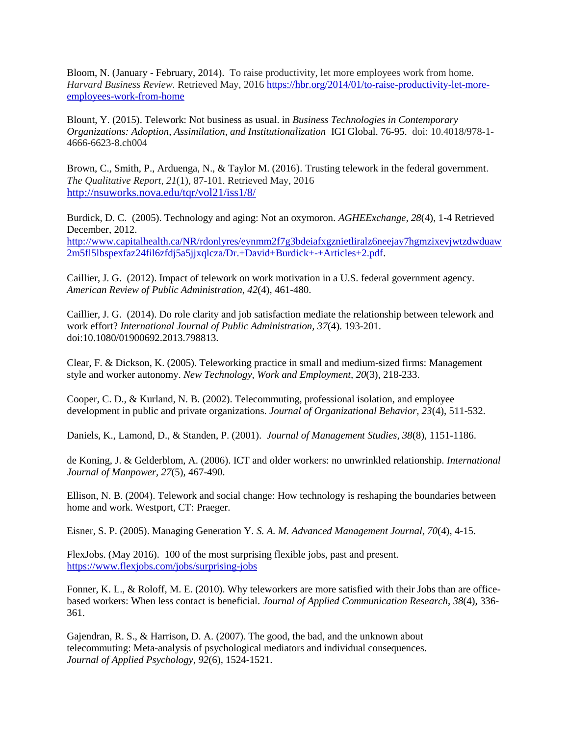Bloom, N. (January - February, 2014). To raise productivity, let more employees work from home. *Harvard Business Review.* Retrieved May, 2016 [https://hbr.org/2014/01/to-raise-productivity-let-more](https://hbr.org/2014/01/to-raise-productivity-let-more-employees-work-from-home)[employees-work-from-home](https://hbr.org/2014/01/to-raise-productivity-let-more-employees-work-from-home)

Blount, Y. (2015). Telework: Not business as usual. in *Business Technologies in Contemporary Organizations: Adoption, Assimilation, and Institutionalization* IGI Global. 76-95. doi: 10.4018/978-1- 4666-6623-8.ch004

Brown, C., Smith, P., Arduenga, N., & Taylor M. (2016). [Trusting telework in the federal government.](http://nsuworks.nova.edu/cgi/viewcontent.cgi?article=2466&context=tqr) *The Qualitative Report, 21*(1), 87-101. Retrieved May, 2016 <http://nsuworks.nova.edu/tqr/vol21/iss1/8/>

Burdick, D. C. (2005). Technology and aging: Not an oxymoron. *AGHEExchange, 28*(4), 1-4 Retrieved December, 2012. [http://www.capitalhealth.ca/NR/rdonlyres/eynmm2f7g3bdeiafxgznietliralz6neejay7hgmzixevjwtzdwduaw](http://www.capitalhealth.ca/NR/rdonlyres/eynmm2f7g3bdeiafxgznietliralz6neejay7hgmzixevjwtzdwduaw2m5fl5lbspexfaz24fil6zfdj5a5jjxqlcza/Dr.+David+Burdick+-+Articles+2.pdf) [2m5fl5lbspexfaz24fil6zfdj5a5jjxqlcza/Dr.+David+Burdick+-+Articles+2.pdf.](http://www.capitalhealth.ca/NR/rdonlyres/eynmm2f7g3bdeiafxgznietliralz6neejay7hgmzixevjwtzdwduaw2m5fl5lbspexfaz24fil6zfdj5a5jjxqlcza/Dr.+David+Burdick+-+Articles+2.pdf)

Caillier, J. G. (2012). Impact of telework on work motivation in a U.S. federal government agency. *American Review of Public Administration, 42*(4), 461-480.

Caillier, J. G. (2014). Do role clarity and job satisfaction mediate the relationship between telework and work effort? *International Journal of Public Administration, 37*(4). 193-201. doi:10.1080/01900692.2013.798813.

Clear, F. & Dickson, K. (2005). Teleworking practice in small and medium-sized firms: Management style and worker autonomy. *New Technology, Work and Employment, 20*(3), 218-233.

Cooper, C. D., & Kurland, N. B. (2002). Telecommuting, professional isolation, and employee development in public and private organizations. *Journal of Organizational Behavior, 23*(4), 511-532.

Daniels, K., Lamond, D., & Standen, P. (2001). *Journal of Management Studies, 38*(8), 1151-1186.

de Koning, J. & Gelderblom, A. (2006). ICT and older workers: no unwrinkled relationship. *International Journal of Manpower, 27*(5), 467-490.

Ellison, N. B. (2004). Telework and social change: How technology is reshaping the boundaries between home and work. Westport, CT: Praeger.

Eisner, S. P. (2005). Managing Generation Y. *S. A. M. Advanced Management Journal, 70*(4), 4-15.

FlexJobs. (May 2016). 100 of the most surprising flexible jobs, past and present. <https://www.flexjobs.com/jobs/surprising-jobs>

Fonner, K. L., & Roloff, M. E. (2010). Why teleworkers are more satisfied with their Jobs than are officebased workers: When less contact is beneficial. *Journal of Applied Communication Research*, *38*(4), 336- 361.

Gajendran, R. S., & Harrison, D. A. (2007). The good, the bad, and the unknown about telecommuting: Meta-analysis of psychological mediators and individual consequences. *Journal of Applied Psychology, 92*(6)*,* 1524-1521.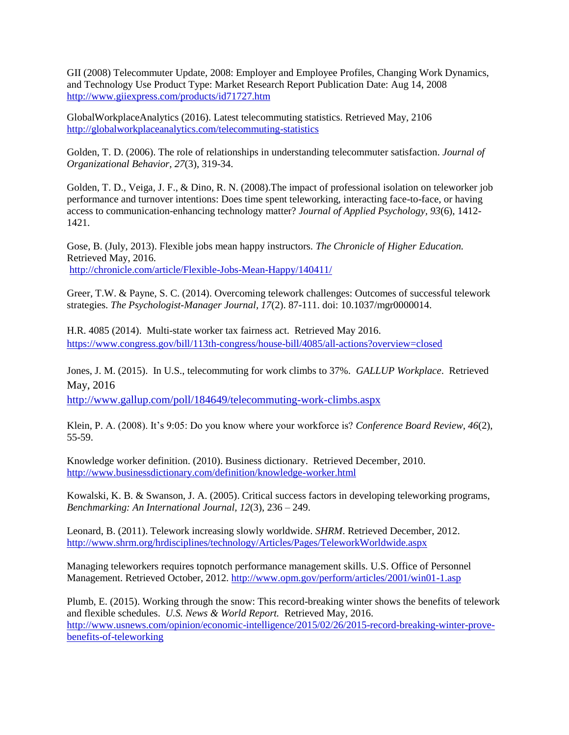GII (2008) Telecommuter Update, 2008: Employer and Employee Profiles, Changing Work Dynamics, and Technology Use Product Type: Market Research Report Publication Date: Aug 14, 2008 <http://www.giiexpress.com/products/id71727.htm>

GlobalWorkplaceAnalytics (2016). Latest telecommuting statistics. Retrieved May, 2106 <http://globalworkplaceanalytics.com/telecommuting-statistics>

Golden, T. D. (2006). The role of relationships in understanding telecommuter satisfaction. *Journal of Organizational Behavior, 27*(3), 319-34.

Golden, T. D., Veiga, J. F., & Dino, R. N. (2008).The impact of professional isolation on teleworker job performance and turnover intentions: Does time spent teleworking, interacting face-to-face, or having access to communication-enhancing technology matter? *Journal of Applied Psychology, 93*(6), 1412- 1421.

Gose, B. (July, 2013). Flexible jobs mean happy instructors. *The Chronicle of Higher Education.*  Retrieved May, 2016. <http://chronicle.com/article/Flexible-Jobs-Mean-Happy/140411/>

Greer, T.W. & Payne, S. C. (2014). Overcoming telework challenges: Outcomes of successful telework strategies. *The Psychologist-Manager Journal, 17*(2). 87-111. doi: 10.1037/mgr0000014.

H.R. 4085 (2014). Multi-state worker tax fairness act. Retrieved May 2016. <https://www.congress.gov/bill/113th-congress/house-bill/4085/all-actions?overview=closed>

Jones, J. M. (2015). In U.S., telecommuting for work climbs to 37%. *GALLUP Workplace*. Retrieved May, 2016

<http://www.gallup.com/poll/184649/telecommuting-work-climbs.aspx>

Klein, P. A. (2008). It's 9:05: Do you know where your workforce is? *Conference Board Review, 46*(2), 55-59.

Knowledge worker definition. (2010). Business dictionary. Retrieved December, 2010. <http://www.businessdictionary.com/definition/knowledge-worker.html>

Kowalski, K. B. & Swanson, J. A. (2005). Critical success factors in developing teleworking programs, *Benchmarking: An International Journal, 12*(3), 236 – 249.

Leonard, B. (2011). Telework increasing slowly worldwide. *SHRM*. Retrieved December, 2012. <http://www.shrm.org/hrdisciplines/technology/Articles/Pages/TeleworkWorldwide.aspx>

Managing teleworkers requires topnotch performance management skills. U.S. Office of Personnel Management. Retrieved October, 2012.<http://www.opm.gov/perform/articles/2001/win01-1.asp>

Plumb, E. (2015). Working through the snow: This record-breaking winter shows the benefits of telework and flexible schedules. *U.S. News & World Report.* Retrieved May, 2016. [http://www.usnews.com/opinion/economic-intelligence/2015/02/26/2015-record-breaking-winter-prove](http://www.usnews.com/opinion/economic-intelligence/2015/02/26/2015-record-breaking-winter-prove-benefits-of-teleworking)[benefits-of-teleworking](http://www.usnews.com/opinion/economic-intelligence/2015/02/26/2015-record-breaking-winter-prove-benefits-of-teleworking)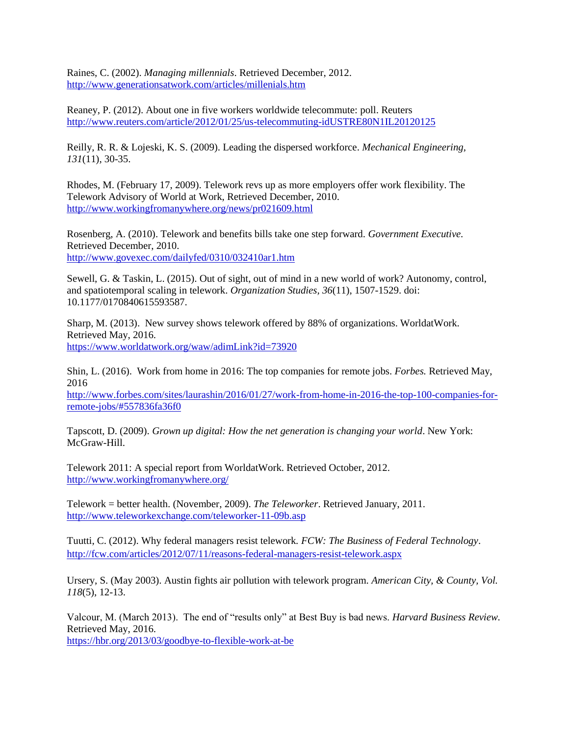Raines, C. (2002). *Managing millennials*. Retrieved December, 2012. <http://www.generationsatwork.com/articles/millenials.htm>

Reaney, P. (2012). About one in five workers worldwide telecommute: poll. Reuters <http://www.reuters.com/article/2012/01/25/us-telecommuting-idUSTRE80N1IL20120125>

Reilly, R. R. & Lojeski, K. S. (2009). Leading the dispersed workforce. *Mechanical Engineering, 131*(11), 30-35.

Rhodes, M. (February 17, 2009). Telework revs up as more employers offer work flexibility. The Telework Advisory of World at Work, Retrieved December, 2010. <http://www.workingfromanywhere.org/news/pr021609.html>

Rosenberg, A. (2010). Telework and benefits bills take one step forward. *Government Executive.*  Retrieved December, 2010. <http://www.govexec.com/dailyfed/0310/032410ar1.htm>

Sewell, G. & Taskin, L. (2015). Out of sight, out of mind in a new world of work? Autonomy, control, and spatiotemporal scaling in telework. *Organization Studies, 36*(11), 1507-1529. doi: 10.1177/0170840615593587.

Sharp, M. (2013). New survey shows telework offered by 88% of organizations. WorldatWork. Retrieved May, 2016. <https://www.worldatwork.org/waw/adimLink?id=73920>

Shin, L. (2016). Work from home in 2016: The top companies for remote jobs. *Forbes.* Retrieved May, 2016

[http://www.forbes.com/sites/laurashin/2016/01/27/work-from-home-in-2016-the-top-100-companies-for](http://www.forbes.com/sites/laurashin/2016/01/27/work-from-home-in-2016-the-top-100-companies-for-remote-jobs/#557836fa36f0)[remote-jobs/#557836fa36f0](http://www.forbes.com/sites/laurashin/2016/01/27/work-from-home-in-2016-the-top-100-companies-for-remote-jobs/#557836fa36f0)

Tapscott, D. (2009). *Grown up digital: How the net generation is changing your world*. New York: McGraw-Hill.

Telework 2011: A special report from WorldatWork. Retrieved October, 2012. <http://www.workingfromanywhere.org/>

Telework = better health. (November, 2009). *The Teleworker*. Retrieved January, 2011. <http://www.teleworkexchange.com/teleworker-11-09b.asp>

Tuutti, C. (2012). Why federal managers resist telework*. FCW: The Business of Federal Technology*. <http://fcw.com/articles/2012/07/11/reasons-federal-managers-resist-telework.aspx>

Ursery, S. (May 2003). Austin fights air pollution with telework program. *American City, & County, Vol. 118*(5), 12-13.

Valcour, M. (March 2013). The end of "results only" at Best Buy is bad news. *Harvard Business Review.* Retrieved May, 2016.

<https://hbr.org/2013/03/goodbye-to-flexible-work-at-be>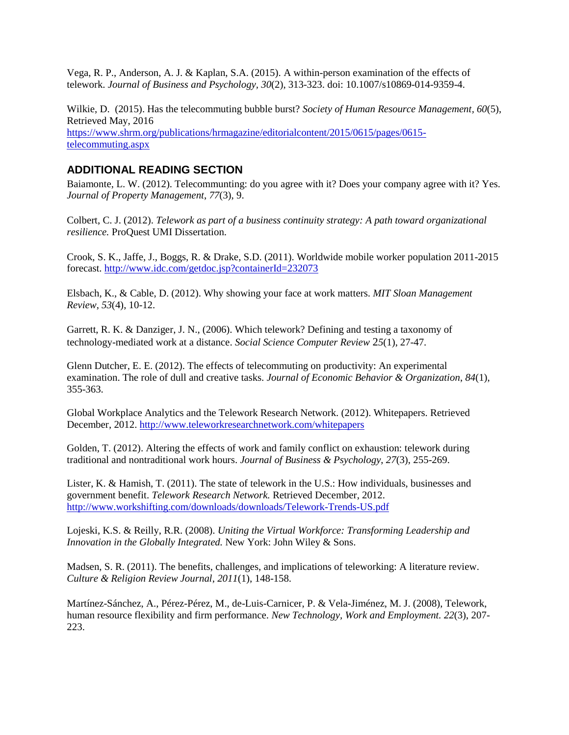Vega, R. P., Anderson, A. J. & Kaplan, S.A. (2015). A within-person examination of the effects of telework. *Journal of Business and Psychology, 30*(2), 313-323. doi: 10.1007/s10869-014-9359-4.

Wilkie, D. (2015). Has the telecommuting bubble burst? *Society of Human Resource Management, 60*(5), Retrieved May, 2016 [https://www.shrm.org/publications/hrmagazine/editorialcontent/2015/0615/pages/0615](https://www.shrm.org/publications/hrmagazine/editorialcontent/2015/0615/pages/0615-telecommuting.aspx) [telecommuting.aspx](https://www.shrm.org/publications/hrmagazine/editorialcontent/2015/0615/pages/0615-telecommuting.aspx)

#### **ADDITIONAL READING SECTION**

Baiamonte, L. W. (2012). Telecommunting: do you agree with it? Does your company agree with it? Yes. *Journal of Property Management*, *77*(3), 9.

Colbert, C. J. (2012). *Telework as part of a business continuity strategy: A path toward organizational resilience.* ProQuest UMI Dissertation.

Crook, S. K., Jaffe, J., Boggs, R. & Drake, S.D. (2011). Worldwide mobile worker population 2011-2015 forecast.<http://www.idc.com/getdoc.jsp?containerId=232073>

Elsbach, K., & Cable, D. (2012). Why showing your face at work matters. *MIT Sloan Management Review*, *53*(4), 10-12.

Garrett, R. K. & Danziger, J. N., (2006). Which telework? Defining and testing a taxonomy of technology-mediated work at a distance. *Social Science Computer Review* 2*5*(1), 27-47.

Glenn Dutcher, E. E. (2012). The effects of telecommuting on productivity: An experimental examination. The role of dull and creative tasks. *Journal of Economic Behavior & Organization*, *84*(1), 355-363.

Global Workplace Analytics and the Telework Research Network. (2012). Whitepapers. Retrieved December, 2012.<http://www.teleworkresearchnetwork.com/whitepapers>

Golden, T. (2012). Altering the effects of work and family conflict on exhaustion: telework during traditional and nontraditional work hours. *Journal of Business & Psychology*, *27*(3), 255-269.

Lister, K. & Hamish, T. (2011). The state of telework in the U.S.: How individuals, businesses and government benefit. *Telework Research Network.* Retrieved December, 2012. <http://www.workshifting.com/downloads/downloads/Telework-Trends-US.pdf>

Lojeski, K.S. & Reilly, R.R. (2008). *Uniting the Virtual Workforce: Transforming Leadership and Innovation in the Globally Integrated.* New York: John Wiley & Sons.

Madsen, S. R. (2011). The benefits, challenges, and implications of teleworking: A literature review. *Culture & Religion Review Journal*, *2011*(1), 148-158.

Martínez-Sánchez, A., Pérez-Pérez, M., de-Luis-Carnicer, P. & Vela-Jiménez, M. J. (2008), Telework, human resource flexibility and firm performance*. New Technology, Work and Employment. 22*(3), 207- 223.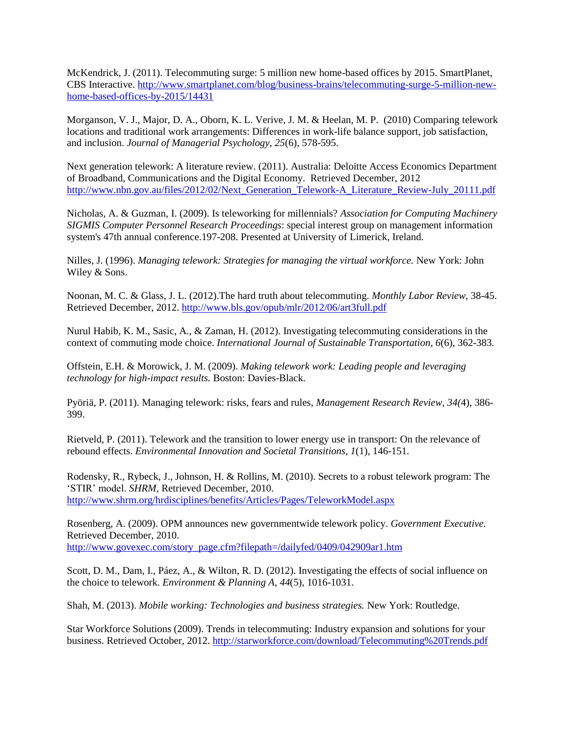McKendrick, J. (2011). Telecommuting surge: 5 million new home-based offices by 2015. SmartPlanet, CBS Interactive. [http://www.smartplanet.com/blog/business-brains/telecommuting-surge-5-million-new](http://www.smartplanet.com/blog/business-brains/telecommuting-surge-5-million-new-home-based-offices-by-2015/14431)[home-based-offices-by-2015/14431](http://www.smartplanet.com/blog/business-brains/telecommuting-surge-5-million-new-home-based-offices-by-2015/14431)

Morganson, V. J., Major, D. A., Oborn, K. L. Verive, J. M. & Heelan, M. P. (2010) Comparing telework locations and traditional work arrangements: Differences in work-life balance support, job satisfaction, and inclusion. *Journal of Managerial Psychology, 25*(6), 578-595.

Next generation telework: A literature review. (2011). Australia: Deloitte Access Economics Department of Broadband, Communications and the Digital Economy. Retrieved December, 2012 [http://www.nbn.gov.au/files/2012/02/Next\\_Generation\\_Telework-A\\_Literature\\_Review-July\\_20111.pdf](http://www.nbn.gov.au/files/2012/02/Next_Generation_Telework-A_Literature_Review-July_20111.pdf)

Nicholas, A. & Guzman, I. (2009). Is teleworking for millennials? *Association for Computing Machinery SIGMIS Computer Personnel Research Proceedings*: special interest group on management information system's 47th annual conference.197-208. Presented at University of Limerick, Ireland.

Nilles, J. (1996). *Managing telework: Strategies for managing the virtual workforce.* New York: John Wiley & Sons.

Noonan, M. C. & Glass, J. L. (2012).The hard truth about telecommuting. *Monthly Labor Review,* 38-45. Retrieved December, 2012[. http://www.bls.gov/opub/mlr/2012/06/art3full.pdf](http://www.bls.gov/opub/mlr/2012/06/art3full.pdf)

Nurul Habib, K. M., Sasic, A., & Zaman, H. (2012). Investigating telecommuting considerations in the context of commuting mode choice. *International Journal of Sustainable Transportation*, *6*(6), 362-383.

Offstein, E.H. & Morowick, J. M. (2009). *Making telework work: Leading people and leveraging technology for high-impact results.* Boston: Davies-Black.

Pyöriä, P. (2011). Managing telework: risks, fears and rules, *Management Research Review, 34(*4), 386- 399.

Rietveld, P. (2011). Telework and the transition to lower energy use in transport: On the relevance of rebound effects. *Environmental Innovation and Societal Transitions, 1*(1), 146-151.

Rodensky, R., Rybeck, J., Johnson, H. & Rollins, M. (2010). Secrets to a robust telework program: The 'STIR' model. *SHRM*, Retrieved December, 2010. <http://www.shrm.org/hrdisciplines/benefits/Articles/Pages/TeleworkModel.aspx>

Rosenberg, A. (2009). OPM announces new governmentwide telework policy. *Government Executive.*  Retrieved December, 2010. [http://www.govexec.com/story\\_page.cfm?filepath=/dailyfed/0409/042909ar1.htm](http://www.govexec.com/story_page.cfm?filepath=/dailyfed/0409/042909ar1.htm)

Scott, D. M., Dam, I., Páez, A., & Wilton, R. D. (2012). Investigating the effects of social influence on the choice to telework. *Environment & Planning A*, *44*(5), 1016-1031.

Shah, M. (2013). *Mobile working: Technologies and business strategies.* New York: Routledge.

Star Workforce Solutions (2009). Trends in telecommuting: Industry expansion and solutions for your business. Retrieved October, 2012[. http://starworkforce.com/download/Telecommuting%20Trends.pdf](http://starworkforce.com/download/Telecommuting%20Trends.pdf)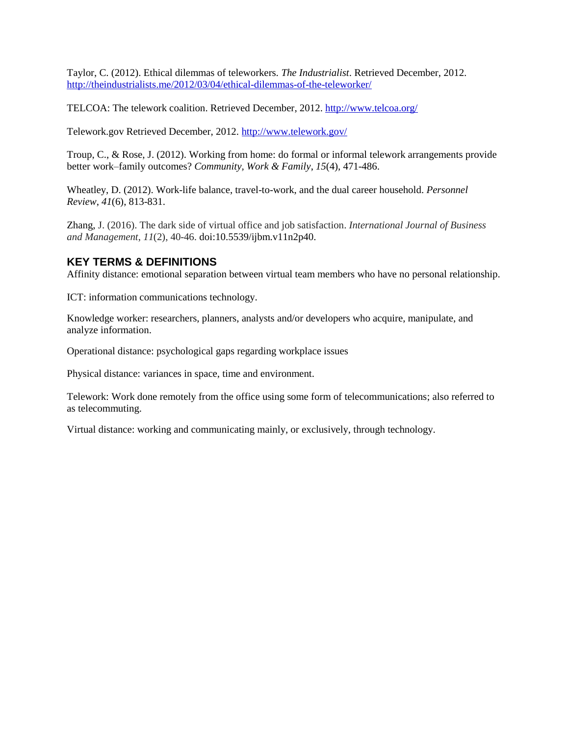Taylor, C. (2012). Ethical dilemmas of teleworkers. *The Industrialist*. Retrieved December, 2012. <http://theindustrialists.me/2012/03/04/ethical-dilemmas-of-the-teleworker/>

TELCOA: The telework coalition. Retrieved December, 2012.<http://www.telcoa.org/>

Telework.gov Retrieved December, 2012.<http://www.telework.gov/>

Troup, C., & Rose, J. (2012). Working from home: do formal or informal telework arrangements provide better work–family outcomes? *Community, Work & Family*, *15*(4), 471-486.

Wheatley, D. (2012). Work-life balance, travel-to-work, and the dual career household. *Personnel Review*, *41*(6), 813-831.

Zhang, J. (2016). The dark side of virtual office and job satisfaction. *International Journal of Business and Management*, *11*(2), 40-46. doi:10.5539/ijbm.v11n2p40.

#### **KEY TERMS & DEFINITIONS**

Affinity distance: emotional separation between virtual team members who have no personal relationship.

ICT: information communications technology.

Knowledge worker: researchers, planners, analysts and/or developers who acquire, manipulate, and analyze information.

Operational distance: psychological gaps regarding workplace issues

Physical distance: variances in space, time and environment.

Telework: Work done remotely from the office using some form of telecommunications; also referred to as telecommuting.

Virtual distance: working and communicating mainly, or exclusively, through technology.